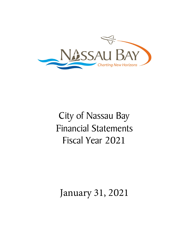

# City of Nassau Bay Financial Statements Fiscal Year 2021

## January 31, 2021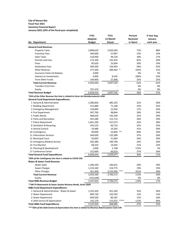#### **City of Nassau Bay Fiscal Year 2021 Summary Financial Report**

**January-2021 (33% of the fiscal year completed)**

|                                                                                 | <b>FY21</b>   | <b>FY21</b>   |      | Percent         | 5-Year Avg |
|---------------------------------------------------------------------------------|---------------|---------------|------|-----------------|------------|
|                                                                                 | Adopted       | 12 Month      |      | <b>Received</b> | January    |
| No. Department                                                                  | <b>Budget</b> | <b>Actual</b> |      | or Spent        | each year  |
| <b>General Fund Revenue:</b>                                                    |               |               |      |                 |            |
| <b>Property Taxes</b>                                                           | 3,898,620     | 2,810,283     |      | 72%             | 88%        |
| <b>Franchise Fees</b>                                                           | 440,000       | 57,897        |      | 13%             | 14%        |
| <b>Sales Taxes</b>                                                              | 510,000       | 94,120        |      | 18%             | 17%        |
| <b>Permits and Fees</b>                                                         | 173,100       | 142,433       |      | 82%             | 39%        |
| Fines                                                                           | 85,620        | 25,604        |      | 30%             | 29%        |
| <b>Ambulance Fees</b>                                                           | 309,200       | 136,992       |      | 44%             | 42%        |
| <b>Other Revenue</b>                                                            | 377,440       | 384,463 *     |      | 102%            | 31%        |
| <b>Insurance Claims &amp; Rebates</b>                                           | 3,000         |               |      | 0%              | 5%         |
| Interest on Investments                                                         | 4,000         | 8,245         |      | 206%            | 24%        |
| From Other Funds                                                                | 149,960       | 37,490        |      | 25%             | 25%        |
| <b>Total Current Revenue</b>                                                    | 5,950,940     | 3,697,526     |      | 62%             | 62%        |
| Transfers (To) From                                                             |               |               |      | 0%              | 0%         |
| Equity                                                                          | 707,470       |               |      | 0%              | 0%         |
| <b>Total Revenue Budget</b>                                                     | 6,658,410     | 3,697,526     |      | 56%             | 57%        |
| *63% of the Other Revenue line item is related to Cares Act Reimbursements 243K |               |               |      |                 |            |
| <b>General Fund Department Expenditures:</b>                                    |               |               |      |                 |            |
| 1 General & Administrative                                                      | 1,580,820     | 485,235       |      | 31%             | 28%        |
| 2 Building Department                                                           | 312,880       | 71,148        |      | 23%             | 25%        |
| 3 Emergency Management                                                          | 134,840       | 22,656        |      | 17%             | 24%        |
| 4 Fire Department                                                               | 347,700       | 98,844        |      | 28%             | 24%        |
| 5 Public Works                                                                  | 468,620       | 145,100       |      | 31%             | 29%        |
| 6 Parks and Recreation                                                          | 452,280       | 115,714       |      | 26%             | 29%        |
| 7 Police Department                                                             | 1,661,290     | 537,473       |      | 32%             | 28%        |
| 8 Sanitation & Recycling                                                        | 243,210       | 60,710        |      | 25%             | 25%        |
| 9 Animal Control                                                                | 33,980        | 10,392        |      | 31%             | 30%        |
| 10 Contingency                                                                  | 90,000        | 53,894 **     |      | 60%             | 18%        |
| 11 Information Services                                                         | 364,650       | 135,389       |      | 37%             | 26%        |
| 12 Municipal Court                                                              | 93,850        | 31,983        |      | 34%             | 29%        |
| 13 Emergency Medical Service                                                    | 582,380       | 184,790       |      | 32%             | 30%        |
| 14 Fire Marshal                                                                 | 68,310        | 14,392        |      | 21%             | 23%        |
| 15 Planning & Development                                                       | 1,000         | 1,748         |      | 175%            | 5%         |
| 17 Conference Center                                                            | 222,600       | 60,010        |      | 27%             | 26%        |
| <b>Total General Fund Expenditures</b>                                          | 6,658,410     | 2,029,477     |      | 30%             | 27%        |
| *60% of the Contingency line item is related to COVID 32K                       |               |               |      |                 |            |
| <b>Water &amp; Sewer Fund Revenue:</b>                                          |               |               |      |                 |            |
| <b>Water Sales</b>                                                              | 1,189,100     | 240,451       |      | 20%             | 20%        |
| Sewer Charges                                                                   | 1,153,160     | 224,775       |      | 19%             | 19%        |
| <b>Other Charges</b>                                                            | 921,300       | 3,235,046     | ***  | 351%            | 30%        |
| <b>Total Current Revenue</b>                                                    | 3,263,560     | 3,700,272     |      | 113%            | 20%        |
| Equity                                                                          | (155, 640)    |               |      | 0%              | 0%         |
| <b>Total W&amp;S Revenue Budget</b>                                             | 3,107,920     | 3,700,272     |      | 119%            | 17%        |
| ** 3M TX Waterworks & Sewer System Revenue Bonds, Series 2020                   |               |               |      |                 |            |
| <b>W&amp;S Fund Department Expenditures:</b>                                    |               |               |      |                 |            |
| 1 General & Administrative - Water & Sewer                                      | 1,352,420     | 451,185       |      | 33%             | 30%        |
| 2 Water Department                                                              | 869,730       | 102,592       |      | 12%             | 12%        |
| 3 Sewer Department                                                              | 694,500       | 80,187        |      | 12%             | 16%        |
| 4 Debt Service & Depreciation                                                   | 191,270       | 215,022       | **** | 112%            | 60%        |
| <b>Total W&amp;S Fund Expenditures</b>                                          | 3,107,920     | 848,985       |      | 27%             | 25%        |

*\*\*\*\*26% of the Debt Service & Depreciation line item is related to Revenue Bond Issuance Costs 57K*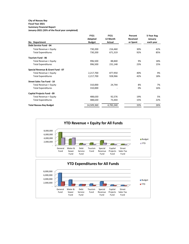#### **City of Nassau Bay Fiscal Year 2021 Summary Financial Report**

**January-2021 (33% of the fiscal year completed)**

|                                   | <b>FY21</b>   | <b>FY21</b> | Percent         | 5-Year Avg |
|-----------------------------------|---------------|-------------|-----------------|------------|
|                                   | Adopted       | 12 Month    | <b>Received</b> | January    |
| No. Department                    | <b>Budget</b> | Actual      | or Spent        | each year  |
| <b>Debt Service Fund - 04</b>     |               |             |                 |            |
| Total Revenue + Equity            | 730,200       | 216,460     | 30%             | 42%        |
| <b>Total Expenditures</b>         | 730,200       | 671,319     | 92%             | 85%        |
| <b>Tourism Fund - 06</b>          |               |             |                 |            |
| Total Revenue + Equity            | 996,500       | 88,840      | 9%              | 18%        |
| <b>Total Expenditures</b>         | 996,500       | 231,148     | 23%             | 15%        |
| Special Revenue & Grant Fund - 07 |               |             |                 |            |
| Total Revenue + Equity            | 2,217,700     | 877,950     | 40%             | 9%         |
| <b>Total Expenditures</b>         | 2,217,700     | 928,966     | 42%             | 18%        |
| <b>Street Sales Tax Fund - 10</b> |               |             |                 |            |
| Total Revenue + Equity            | 310,000       | 24,744      | 8%              | 7%         |
| <b>Total Expenditures</b>         | 310,000       |             | 0%              | 16%        |
| <b>Capital Projects Fund - 09</b> |               |             |                 |            |
| Total Revenue + Equity            | 488,630       | 92,576      | 19%             | 5%         |
| <b>Total Expenditures</b>         | 488,630       | 73,444      | 15%             | 22%        |
| <b>Total Nassau Bay Budget</b>    | 14,509,360    | 4,783,340   | 33%             | 26%        |

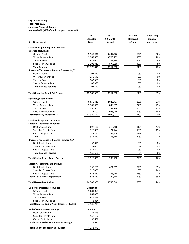#### **City of Nassau Bay Fiscal Year 2021 Summary Financial Report January-2021 (33% of the fiscal year completed)**

|                                                      | <b>FY21</b>      | <b>FY21</b>   | Percent         | 5-Year Avg |  |
|------------------------------------------------------|------------------|---------------|-----------------|------------|--|
|                                                      | Adopted          | 12 Month      | <b>Received</b> | January    |  |
| No. Department                                       | <b>Budget</b>    | <b>Actual</b> | or Spent        | each year  |  |
| <b>Combined Operating Funds Report:</b>              |                  |               |                 |            |  |
| <b>Operating Revenue:</b>                            |                  |               |                 |            |  |
| <b>General Fund</b>                                  | 5,950,940        | 3,697,526     | 62%             | 62%        |  |
| Water & Sewer Fund                                   | 3,263,560        | 3,700,272     | 113%            | 20%        |  |
| <b>Tourism Fund</b>                                  | 454,000          | 88,840        | 20%             | 26%        |  |
| Special Revenue Fund                                 | 2,108,310        | 877,950       | 42%             | 8%         |  |
| <b>Total Revenue</b>                                 | 11,776,810       | 8,364,588     | 71%             | 42%        |  |
| (Increase)/Decrease in Balance Forward Yr/Yr         |                  |               |                 |            |  |
| <b>General Fund</b>                                  | 707,470          |               | 0%              | 0%         |  |
| Water & Sewer Fund                                   | (155, 640)       |               | 0%              | 0%         |  |
| <b>Tourism Fund</b>                                  | 542,500          |               | 0%              | 0%         |  |
| Special Revenue Fund                                 | 109,390          |               | 0%              | 0%         |  |
| <b>Total Balance Forward</b>                         | 1,203,720        |               | 0%              | 0%         |  |
|                                                      |                  |               |                 |            |  |
| <b>Total Operating Rev &amp; Bal Forward</b>         | 12,980,530       | 8,364,588     | 64%             | 35%        |  |
| <b>Operating Expenditures:</b>                       |                  |               |                 |            |  |
| <b>General Fund</b>                                  | 6,658,410        | 2,029,477     | 30%             | 27%        |  |
| Water & Sewer Fund                                   | 3,107,920        | 848,985       | 27%             | 25%        |  |
| <b>Tourism Fund</b>                                  | 996,500          | 231,148       | 23%             | 15%        |  |
| Special Revenue Fund                                 | 2,217,700        | 928,966       | 42%             | 18%        |  |
| <b>Total Operating Expenditures</b>                  | 12,980,530       | 4,038,577     | 31%             | 24%        |  |
|                                                      |                  |               |                 |            |  |
| <b>Combined Capital Assets Funds:</b>                |                  |               |                 |            |  |
| <b>Capital Assets Funds Revenue:</b>                 |                  |               |                 |            |  |
| Debt Service Fund                                    | 697,130          | 216,460       | 31%             | 43%        |  |
| <b>Sales Tax Streets Fund</b>                        | 128,000          | 24,744        | 19%             | 19%        |  |
| Capital Projects Fund                                | 147,140          | 92,576        | 63%             | 7%         |  |
| <b>Total</b>                                         | 972,270          | 333,780       | 34%             | 22%        |  |
| (Increase)/Decrease in Balance Forward Yr/Yr         |                  |               |                 |            |  |
| Debt Service Fund                                    | 33,070           |               | 0%              | 0%         |  |
| <b>Sales Tax Streets Fund</b>                        | 182,000          |               | 0%              | 0%         |  |
| Capital Projects Fund                                | 341,490          |               | 0%              | 0%         |  |
| <b>Total Balance Forward</b>                         | 556,560          |               | 0%              | 0%         |  |
| <b>Total Capital Assets Funds Revenue</b>            | 1,528,830        | 333,780       | 22%             | 16%        |  |
| <b>Capital Assets Funds Expenditures:</b>            |                  |               |                 |            |  |
| Debt Service Fund                                    | 730,200          | 671,319       | 92%             | 85%        |  |
| <b>Sales Tax Streets Fund</b>                        | 310,000          |               | 0%              | 16%        |  |
| Capital Projects Fund                                | 488,630          | 73,444        | 15%             | 22%        |  |
| <b>Total Capital Assets Expenditures</b>             | 1,528,830        | 744,764       | 49%             | 39%        |  |
|                                                      |                  |               |                 |            |  |
| <b>Total Nassau Bay Budget</b>                       | 14,509,360       | 4,783,340     | 33%             | 26%        |  |
| <b>End of Year Reserves - Budget</b>                 | <b>Operating</b> |               |                 |            |  |
| <b>General Fund</b>                                  | 1,684,051        |               |                 |            |  |
| Water & Sewer Fund                                   | 862,007          |               |                 |            |  |
| <b>Tourism Fund</b>                                  | 946,853          |               |                 |            |  |
| Special Revenue Fund                                 | 43,834           |               |                 |            |  |
| <b>Total Operating End of Year Reserves - Budget</b> | 3,536,745        |               |                 |            |  |
| <b>End of Year Reserves - Budget</b>                 | Capital          |               |                 |            |  |
| Debt Service Fund                                    | 122,423          |               |                 |            |  |
| <b>Sales Tax Streets Fund</b>                        | 557,172          |               |                 |            |  |
| Capital Projects Fund                                | 35,037           |               |                 |            |  |
| <b>Total Capital End of Year Reserves - Budget</b>   | 714,632          |               |                 |            |  |
|                                                      |                  |               |                 |            |  |
| <b>Total End of Year Reserves - Budget</b>           | 4,251,377        |               |                 |            |  |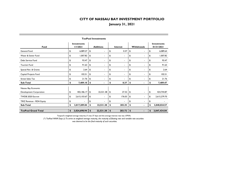## **January 31, 2021**

| <b>Fund</b>                |    | <b>Investments</b><br>1/1/2021 |                           | <b>Additions</b> |                           | <b>Interest</b> |            | Withdrawals              |    | <b>Investments</b><br>01/31/2021 |  |  |  |  |
|----------------------------|----|--------------------------------|---------------------------|------------------|---------------------------|-----------------|------------|--------------------------|----|----------------------------------|--|--|--|--|
| <b>General Fund</b>        | \$ | 6,089.27                       | \$                        | $\blacksquare$   | \$                        | 0.37            | \$         | $\blacksquare$           | \$ | 6,089.64                         |  |  |  |  |
| Water & Sewer Fund         | \$ | 1,007.82                       | \$                        | ۰.               | \$                        | $\sim$          | \$         | $\blacksquare$           | \$ | 1,007.82                         |  |  |  |  |
| Debt Service Fund          | \$ | 93.47                          | \$                        |                  | \$                        | $\sim$          | \$         | $\blacksquare$           | \$ | 93.47                            |  |  |  |  |
| <b>Tourism Fund</b>        | \$ | 91.63                          | \$                        | $\blacksquare$   | \$                        | ٠.              | \$         | $\blacksquare$           | \$ | 91.63                            |  |  |  |  |
| Special Rev. & Grants      | \$ | 2.64                           | \$                        |                  | \$                        |                 | \$         |                          | \$ | 2.64                             |  |  |  |  |
| Capital Projects Fund      | \$ | 102.51                         | \$                        | ۰.               | \$                        | $\sim$          | \$         | $\blacksquare$           | \$ | 102.51                           |  |  |  |  |
| <b>Street Sales Tax</b>    | \$ | 21.76                          | \$                        |                  | \$                        |                 | \$         |                          | \$ | 21.76                            |  |  |  |  |
| Sub-Total                  | \$ | 7,409.10                       | \$                        | $\blacksquare$   | \$                        | 0.37            | \$         | $\blacksquare$           | \$ | 7,409.47                         |  |  |  |  |
| Nassau Bay Economic        |    |                                |                           |                  |                           |                 |            |                          |    |                                  |  |  |  |  |
| Development Corporation    | \$ | 402,186.17                     | \$                        | 22,531.38        | \$                        | 27.32           | \$         |                          | \$ | 424,744.87                       |  |  |  |  |
| TWDB 2020 Escrow           | \$ | 2,615,103.67                   | \$                        | ۰.               | \$                        | 176.03          | \$         | ۰.                       | \$ | 2,615,279.70                     |  |  |  |  |
| TIRZ Revenue - RDA Equity  | \$ |                                | \$                        |                  | \$                        |                 | \$         | $\overline{\phantom{a}}$ | \$ |                                  |  |  |  |  |
| Sub-Total                  | \$ | 3,017,289.84                   | \$                        | 22,531.38        | -\$                       | 203.35          | \$         | $\blacksquare$           | \$ | 3,040,024.57                     |  |  |  |  |
| <b>TexPool Grand Total</b> | \$ | 3,024,698.94                   | $\boldsymbol{\mathsf{s}}$ | 22,531.38        | $\boldsymbol{\mathsf{s}}$ | 203.72          | $\sqrt{2}$ | $\blacksquare$           | \$ | 3,047,434.04                     |  |  |  |  |
|                            |    |                                |                           |                  |                           |                 |            |                          |    |                                  |  |  |  |  |

**TexPool Investments**

Texpool's weighted average maturity (\*) was 37 days and the average interest rate was .0793%.

*(\*) TexPool WAM Days (2) To arrive at weighted average maturity, the maturity of floating rate and variable rate securities*  was deemed to be the final maturity of such securities.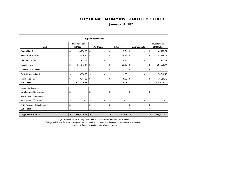## **January 31, 2021**

| <b>Logic Investments</b>  |    |                                |                           |                          |    |                          |               |                          |    |                                  |  |  |
|---------------------------|----|--------------------------------|---------------------------|--------------------------|----|--------------------------|---------------|--------------------------|----|----------------------------------|--|--|
| <b>Fund</b>               |    | <b>Investments</b><br>1/1/2021 |                           | <b>Additions</b>         |    | <b>Interest</b>          |               | Withdrawals              |    | <b>Investments</b><br>01/31/2021 |  |  |
| <b>General Fund</b>       | \$ | 66,096.55                      | \$                        | ٠                        | \$ | 7.24                     | \$            | $\blacksquare$           | \$ | 66,103.79                        |  |  |
| Water & Sewer Fund        | \$ | 142,130.57                     | \$                        | ٠                        | \$ | 15.56                    | \$            | ٠                        | \$ | 142, 146.13                      |  |  |
| Debt Service Fund         | \$ | 1,495.58                       | \$                        | $\blacksquare$           | \$ | 0.16                     | \$            | $\overline{\phantom{a}}$ | \$ | 1,495.74                         |  |  |
| <b>Tourism Fund</b>       | \$ | 201,813.64                     | \$                        | $\blacksquare$           | \$ | 22.10                    | \$            | $\blacksquare$           | \$ | 201,835.74                       |  |  |
| Special Rev. & Grants     | \$ | ۰                              | \$                        | ٠                        | \$ | $\blacksquare$           | \$            | $\overline{\phantom{a}}$ | \$ |                                  |  |  |
| Capital Projects Fund     | \$ | 36,536.93                      | \$                        | $\blacksquare$           | \$ | 4.00                     | \$            | ٠                        | \$ | 36,540.93                        |  |  |
| <b>Street Sales Tax</b>   | \$ | 78,341.60                      | \$                        |                          | \$ | 8.58                     | \$            |                          | \$ | 78,350.18                        |  |  |
| Sub-Total                 | \$ | 526,414.87                     | \$                        | $\blacksquare$           | \$ | 57.64                    | $\sqrt{2}$    | $\blacksquare$           | \$ | 526,472.51                       |  |  |
| Nassau Bay Economic       |    |                                |                           |                          |    |                          |               |                          |    |                                  |  |  |
| Development Corporation   | \$ | $\blacksquare$                 | \$                        | $\blacksquare$           | \$ | $\blacksquare$           | \$            | $\blacksquare$           | \$ |                                  |  |  |
| Nassau Bay Tax Increment  |    |                                |                           |                          |    |                          |               |                          |    |                                  |  |  |
| Reinvestment Zone No. I   | \$ | $\blacksquare$                 | \$                        | $\overline{\phantom{a}}$ | \$ | $\overline{\phantom{a}}$ | \$            | $\overline{\phantom{a}}$ | \$ |                                  |  |  |
| TIRZ Revenue - RDA Equity | \$ |                                | \$                        |                          | \$ |                          | \$            |                          | \$ |                                  |  |  |
| Sub-Total                 | \$ |                                | \$                        | $\blacksquare$           | \$ | $\blacksquare$           | \$            | $\blacksquare$           | \$ |                                  |  |  |
| <b>Logic Grand Total</b>  | \$ | 526,414.87                     | $\boldsymbol{\mathsf{s}}$ |                          | \$ | 57.64                    | $\frac{1}{2}$ |                          | \$ | 526,472.51                       |  |  |

Logic's weighted average maturity (\*) was 55 days and the average interest rate was .1289%.

*(\*) Logic WAM Days To arrive at weighted average maturity, the maturity of floating rate and variable rate securities* 

 *was deemed to be the final maturity of such securities.*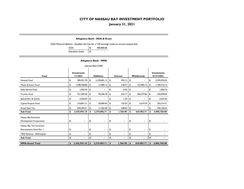**January 31, 2021**

#### **Allegiance Bank - DDA & Grant**

DDA Minimum Balance - Qualifies the City for a 1.00 earnings credit on account analysis fees

| DDA                    | 400,000.00 |
|------------------------|------------|
| <b>Elevation Grant</b> | \$         |

#### **Allegiance Bank - MMA**

| Interest Rate 0.50%                            |    |                                |    |                          |                           |                          |    |                          |    |                                  |  |  |  |
|------------------------------------------------|----|--------------------------------|----|--------------------------|---------------------------|--------------------------|----|--------------------------|----|----------------------------------|--|--|--|
| <b>Fund</b>                                    |    | <b>Investments</b><br>1/1/2021 |    | <b>Additions</b>         |                           | <b>Interest</b>          |    | <b>Withdrawals</b>       |    | <b>Investments</b><br>01/31/2021 |  |  |  |
| General Fund                                   | \$ | 284,301.78                     | \$ | 2,109,681.13             | \$                        | 493.12                   | \$ | $\overline{\phantom{a}}$ | \$ | 2,394,476.03                     |  |  |  |
| Water & Sewer Fund                             | \$ | 1,298,708.80                   | \$ | 13,489.12                | \$                        | 518.37                   | \$ | 122,983.15               | \$ | 1,189,733.14                     |  |  |  |
| Debt Service Fund                              | \$ | 1,050.29                       | \$ | -                        | \$                        | 0.45                     | \$ | $\blacksquare$           | \$ | 1,050.74                         |  |  |  |
| <b>Tourism Fund</b>                            | \$ | 751,609.60                     | \$ | 90,546.78                | \$                        | 323.17                   | \$ | 506,379.86               | \$ | 336,099.69                       |  |  |  |
| Special Rev. & Grants                          | \$ | 2,926.69                       | \$ | ۰                        | \$                        | 1.24                     | \$ | $\blacksquare$           | \$ | 2,927.93                         |  |  |  |
| Capital Projects Fund                          | \$ | 310,801.51                     | \$ | 50,000.00                | \$                        | 132.50                   | \$ | 5,619.70                 | \$ | 355,314.31                       |  |  |  |
| <b>Street Sales Tax</b>                        | \$ | 694,594.51                     | \$ | 11,265.68                | \$                        | 298.05                   | \$ | $\blacksquare$           | \$ | 706,158.24                       |  |  |  |
| Sub-Total                                      | \$ | 3,343,993.18                   | \$ | 2,274,982.71             | \$                        | 1,766.90                 | \$ | 634,982.71               | \$ | 4,985,760.08                     |  |  |  |
| Nassau Bay Economic<br>Development Corporation | \$ | $\overline{\phantom{a}}$       | \$ | $\blacksquare$           | \$                        | $\overline{\phantom{a}}$ | \$ | $\blacksquare$           | \$ |                                  |  |  |  |
| Nassau Bay Tax Increment                       |    |                                |    |                          |                           |                          |    |                          |    |                                  |  |  |  |
| Reinvestment Zone No. I                        | \$ | $\overline{\phantom{a}}$       | \$ | $\overline{\phantom{a}}$ | \$                        | $\overline{\phantom{0}}$ | \$ | $\blacksquare$           | \$ |                                  |  |  |  |
| <b>TIRZ Revenue - RDA Equity</b>               | \$ |                                | \$ | ۰                        | \$                        | Ĭ.                       | \$ | $\blacksquare$           | \$ |                                  |  |  |  |
| <b>Sub-Total</b>                               | \$ | $\blacksquare$                 | \$ |                          | \$                        | $\blacksquare$           | \$ |                          | \$ |                                  |  |  |  |
| <b>MMA Grand Total</b>                         | \$ | 3,343,993.18                   | \$ | 2,274,982.71             | $\boldsymbol{\mathsf{s}}$ | 1,766.90                 | \$ | 634,982.71               | \$ | 4,985,760.08                     |  |  |  |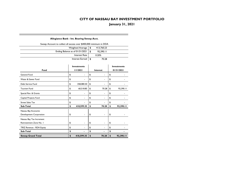**January 31, 2021**

#### **Allegiance Bank - Int. Bearing Sweep Acct.**

| Sweep Account to collect all excess over \$400,000 minimum in DDA |      |            |  |
|-------------------------------------------------------------------|------|------------|--|
| Weighted Average                                                  | - \$ | 413,760.23 |  |
| Ending Balance as of 01/31/2021                                   | - \$ | 92,390.11  |  |
| Interest Rate                                                     |      | 0.20%      |  |
| Interest Earned $\vert$ \$                                        |      | 70.28      |  |

|                           | <b>Investments</b> |            |               |                 | <b>Investments</b> |
|---------------------------|--------------------|------------|---------------|-----------------|--------------------|
| <b>Fund</b>               |                    | 1/1/2021   |               | <b>Interest</b> | 01/31/2021         |
| General Fund              | \$                 |            | \$            |                 | \$                 |
| Water & Sewer Fund        | \$                 |            | \$            | ۰               | \$                 |
| Debt Service Fund         | \$                 | 358,080.50 | \$            | ۰               | \$                 |
| <b>Tourism Fund</b>       | \$                 | 60,518.85  | \$            | 70.28           | \$<br>92,390.11    |
| Special Rev. & Grants     | \$                 |            | \$            | ۰               | \$                 |
| Capital Projects Fund     | \$                 |            | \$            |                 | \$                 |
| <b>Street Sales Tax</b>   | \$                 |            | \$            |                 | \$                 |
| <b>Sub-Total</b>          | \$                 | 418,599.35 | \$            | 70.28           | \$<br>92,390.11    |
| Nassau Bay Economic       |                    |            |               |                 |                    |
| Development Corporation   | \$                 |            | \$            |                 | \$                 |
| Nassau Bay Tax Increment  |                    |            |               |                 |                    |
| Reinvestment Zone No. I   | \$                 |            | \$            | ۰               | \$                 |
| TIRZ Revenue - RDA Equity | \$                 |            | \$            |                 | \$                 |
| Sub-Total                 | \$                 |            | \$            |                 | \$                 |
| <b>Sweep Grand Total</b>  | \$                 | 418,599.35 | $\frac{1}{2}$ | 70.28           | \$<br>92,390.11    |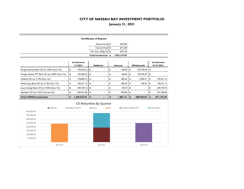**January 31, 2021**

|                                      |                                                                                                                                                                   |    |                                |               | <b>Certificates of Deposit</b> |    |              |            |                |                           |                                  |  |
|--------------------------------------|-------------------------------------------------------------------------------------------------------------------------------------------------------------------|----|--------------------------------|---------------|--------------------------------|----|--------------|------------|----------------|---------------------------|----------------------------------|--|
|                                      |                                                                                                                                                                   |    |                                |               | General Fund \$                |    | 629,936      |            |                |                           |                                  |  |
|                                      |                                                                                                                                                                   |    |                                |               | Tourism Fund \$                |    | 241,240      |            |                |                           |                                  |  |
|                                      |                                                                                                                                                                   |    |                                |               | Fed. Gov. Oblig. Fd \$         |    | 222,143      |            |                |                           |                                  |  |
|                                      |                                                                                                                                                                   |    |                                |               | Total Investments \$           |    | 1,093,319.59 |            |                |                           |                                  |  |
|                                      |                                                                                                                                                                   |    | <b>Investments</b><br>1/1/2021 |               | <b>Additions</b>               |    | Interest     |            | Withdrawals    |                           | <b>Investments</b><br>01/31/2021 |  |
|                                      | Morgan Stanley Bank CD 2yr 2.85% (Gen. Fd.)                                                                                                                       | \$ | 192,596.23                     | \$            | $\blacksquare$                 | \$ | 148.36       | \$         | 192,744.59     | \$                        |                                  |  |
|                                      | Morgan Stanley PVT Bank CD 2yr 2.85% (Gen. Fd.)                                                                                                                   | \$ | 192,596.23                     | \$            | $\blacksquare$                 | \$ | 148.36       | \$         | 192,744.59     | \$                        |                                  |  |
| Citibank CD 3yr 3.10% (Gen. Fd.)     |                                                                                                                                                                   | \$ | 192,840.12                     | \$            | $\overline{\phantom{0}}$       | \$ | 500.25       | \$         | 2,969.21       | \$                        | 190,371.16                       |  |
|                                      | Wells Fargo Bank CD 3yr 3.10% (Gen. Fd.)                                                                                                                          | \$ | 190,371.14                     | \$            | $\overline{\phantom{0}}$       | \$ | 500.25       | \$         | 500.25         | \$                        | 190,371.14                       |  |
|                                      | Luana Savings Bank CD 3yr 0.40% (Gen. Fd.)                                                                                                                        | \$ | 249,109.15                     | \$            | -                              | \$ | 84.59        | \$         | -              | \$                        | 249, 193.74                      |  |
| Ally Bank CD 2yr 2.45% (Tourism Fd.) |                                                                                                                                                                   | \$ | 240,741.06                     | \$            | $\blacksquare$                 | \$ | 499.40       | \$         | $\blacksquare$ | \$                        | 241,240.46                       |  |
| <b>Total CDAR Investments</b>        |                                                                                                                                                                   | \$ | 1,258,253.92                   | $\frac{1}{2}$ | $\blacksquare$                 | \$ | 1,881.21     | $\sqrt{2}$ | 388,958.64     | $\boldsymbol{\mathsf{s}}$ | 871,176.49                       |  |
|                                      | <b>CD Maturities By Quarter</b><br><b>■</b> Citibank<br>Morgan Stanley<br>$\blacksquare$ Ally<br>Morgan Stanley PVT<br><b>Wells Fargo</b><br>$\blacksquare$ Luana |    |                                |               |                                |    |              |            |                |                           |                                  |  |
| 400,000.00                           |                                                                                                                                                                   |    |                                |               |                                |    |              |            |                |                           |                                  |  |
| 350,000.00                           |                                                                                                                                                                   |    |                                |               |                                |    |              |            |                |                           |                                  |  |
| 300,000.00                           |                                                                                                                                                                   |    |                                |               |                                |    |              |            |                |                           |                                  |  |
| 250,000.00                           |                                                                                                                                                                   |    |                                |               |                                |    |              |            |                |                           |                                  |  |
| 200,000.00                           |                                                                                                                                                                   |    |                                |               |                                |    |              |            |                |                           |                                  |  |
| 150,000.00                           |                                                                                                                                                                   |    |                                |               |                                |    |              |            |                |                           |                                  |  |

Q3 FY21 Q2 FY22 Q3 FY23

 - 50,000.00 100,000.00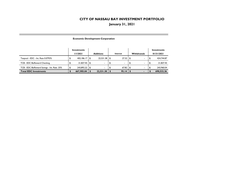**January 31, 2021**

|                                              | Investments |            |      |                          |      |          |      |                    | Investments |  |
|----------------------------------------------|-------------|------------|------|--------------------------|------|----------|------|--------------------|-------------|--|
|                                              |             | 1/1/2021   |      | <b>Additions</b>         |      | Interest |      | <b>Withdrawals</b> | 01/31/2021  |  |
| Texpool - EDC - Int. Rate 0.0793%            |             | 402,186.17 | l Si | 22,531.38                | - 36 | 27.32    | - 36 |                    | 424,744.87  |  |
| TCB - EDC BizReward Checking                 |             | 21.827.45  | ا \$ | $\overline{\phantom{a}}$ |      |          |      |                    | 21,827.45   |  |
| TCB - EDC BizReward Savings - Int. Rate .35% |             | 243.892.22 | l \$ |                          |      | 67.82    | - 36 |                    | 243.960.04  |  |
| <b>Total EDC Investments</b>                 |             | 667,905.84 |      | 22,531.38                |      | 95.14    |      | -                  | 690,532.36  |  |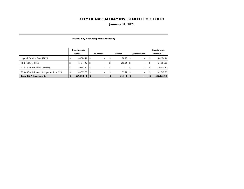## **January 31, 2021**

|                                              | Investments |            |    |                  |   |          |                                |            | Investments |  |
|----------------------------------------------|-------------|------------|----|------------------|---|----------|--------------------------------|------------|-------------|--|
|                                              |             | 1/1/2021   |    | <b>Additions</b> |   | Interest | <b>Withdrawals</b>             | 01/31/2021 |             |  |
| Logic - RDA - Int. Rate . 1289%              |             | 184,584.11 | \$ | ۰.               |   | 20.23    | \$                             |            | 184,604.34  |  |
| TCB - CD 3yr 1.85%                           |             | 161,311.67 | \$ | ۰.               | Ф | 252.96   | \$                             |            | 161,564.63  |  |
| TCB - RDA BizReward Checking                 |             | 20,403.50  | \$ | ٠                |   | ۰        | ٠                              |            | 20,403.50   |  |
| TCB - RDA BizReward Savings - Int. Rate .35% |             | 143,522.85 | \$ | ٠                |   | 39.91    | \$<br>$\overline{\phantom{a}}$ |            | 143,562.76  |  |
| <b>Total RDA Investments</b>                 |             | 509,822.13 |    |                  |   | 313.10   |                                |            | 510,135.23  |  |

#### **Nassau Bay Redevelopment Authority**